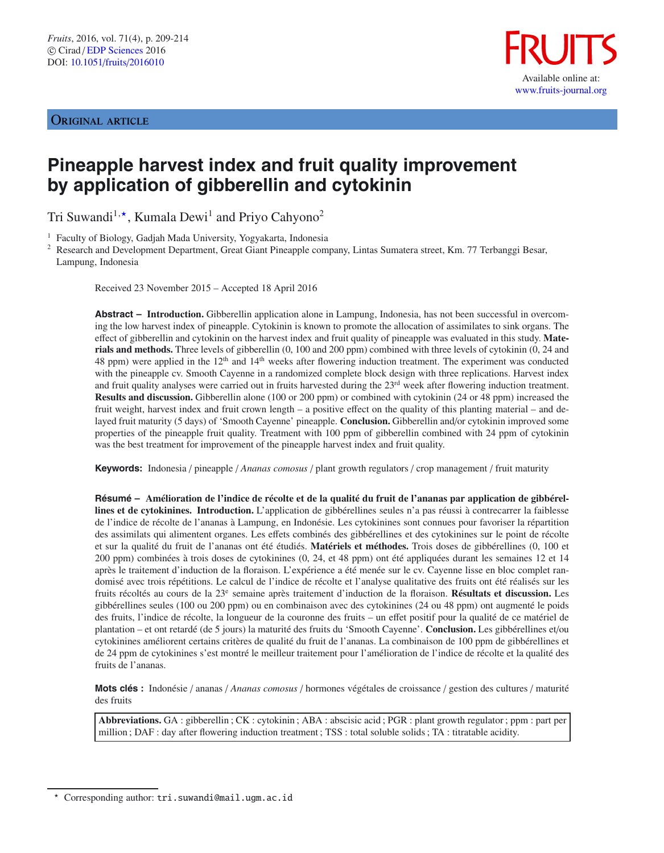ORIGINAL ARTICLE



# **Pineapple harvest index and fruit quality improvement by application of gibberellin and cytokinin**

Tri Suwandi<sup>1,</sup>\*, Kumala Dewi<sup>1</sup> and Priyo Cahyono<sup>2</sup>

<sup>1</sup> Faculty of Biology, Gadjah Mada University, Yogyakarta, Indonesia

<sup>2</sup> Research and Development Department, Great Giant Pineapple company, Lintas Sumatera street, Km. 77 Terbanggi Besar, Lampung, Indonesia

Received 23 November 2015 – Accepted 18 April 2016

**Abstract – Introduction.** Gibberellin application alone in Lampung, Indonesia, has not been successful in overcoming the low harvest index of pineapple. Cytokinin is known to promote the allocation of assimilates to sink organs. The effect of gibberellin and cytokinin on the harvest index and fruit quality of pineapple was evaluated in this study. **Materials and methods.** Three levels of gibberellin (0, 100 and 200 ppm) combined with three levels of cytokinin (0, 24 and 48 ppm) were applied in the 12<sup>th</sup> and 14<sup>th</sup> weeks after flowering induction treatment. The experiment was conducted with the pineapple cv. Smooth Cayenne in a randomized complete block design with three replications. Harvest index and fruit quality analyses were carried out in fruits harvested during the  $23<sup>rd</sup>$  week after flowering induction treatment. **Results and discussion.** Gibberellin alone (100 or 200 ppm) or combined with cytokinin (24 or 48 ppm) increased the fruit weight, harvest index and fruit crown length – a positive effect on the quality of this planting material – and delayed fruit maturity (5 days) of 'Smooth Cayenne' pineapple. **Conclusion.** Gibberellin and/or cytokinin improved some properties of the pineapple fruit quality. Treatment with 100 ppm of gibberellin combined with 24 ppm of cytokinin was the best treatment for improvement of the pineapple harvest index and fruit quality.

**Keywords:** Indonesia / pineapple / *Ananas comosus* / plant growth regulators / crop management / fruit maturity

**Résumé – Amélioration de l'indice de récolte et de la qualité du fruit de l'ananas par application de gibbérellines et de cytokinines. Introduction.** L'application de gibbérellines seules n'a pas réussi à contrecarrer la faiblesse de l'indice de récolte de l'ananas à Lampung, en Indonésie. Les cytokinines sont connues pour favoriser la répartition des assimilats qui alimentent organes. Les effets combinés des gibbérellines et des cytokinines sur le point de récolte et sur la qualité du fruit de l'ananas ont été étudiés. **Matériels et méthodes.** Trois doses de gibbérellines (0, 100 et 200 ppm) combinées à trois doses de cytokinines (0, 24, et 48 ppm) ont été appliquées durant les semaines 12 et 14 après le traitement d'induction de la floraison. L'expérience a été menée sur le cv. Cayenne lisse en bloc complet randomisé avec trois répétitions. Le calcul de l'indice de récolte et l'analyse qualitative des fruits ont été réalisés sur les fruits récoltés au cours de la 23e semaine après traitement d'induction de la floraison. **Résultats et discussion.** Les gibbérellines seules (100 ou 200 ppm) ou en combinaison avec des cytokinines (24 ou 48 ppm) ont augmenté le poids des fruits, l'indice de récolte, la longueur de la couronne des fruits – un effet positif pour la qualité de ce matériel de plantation – et ont retardé (de 5 jours) la maturité des fruits du 'Smooth Cayenne'. **Conclusion.** Les gibbérellines et/ou cytokinines améliorent certains critères de qualité du fruit de l'ananas. La combinaison de 100 ppm de gibbérellines et de 24 ppm de cytokinines s'est montré le meilleur traitement pour l'amélioration de l'indice de récolte et la qualité des fruits de l'ananas.

**Mots clés :** Indonésie / ananas / *Ananas comosus* / hormones végétales de croissance / gestion des cultures / maturité des fruits

**Abbreviations.** GA : gibberellin ; CK : cytokinin ; ABA : abscisic acid ; PGR : plant growth regulator ; ppm : part per million ; DAF : day after flowering induction treatment ; TSS : total soluble solids ; TA : titratable acidity.

 $\star$ Corresponding author: tri.suwandi@mail.ugm.ac.id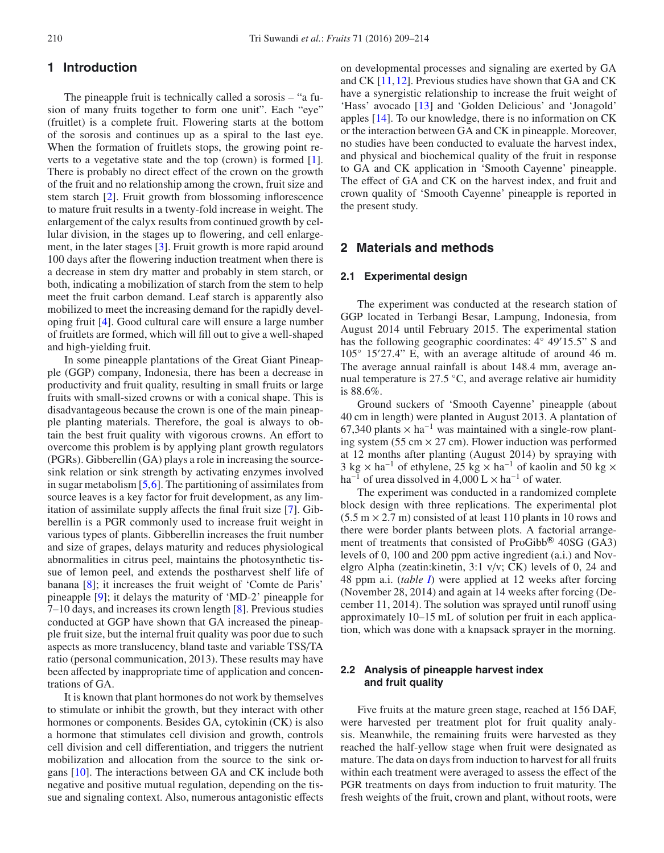## **1 Introduction**

The pineapple fruit is technically called a sorosis – "a fusion of many fruits together to form one unit". Each "eye" (fruitlet) is a complete fruit. Flowering starts at the bottom of the sorosis and continues up as a spiral to the last eye. When the formation of fruitlets stops, the growing point reverts to a vegetative state and the top (crown) is formed [\[1](#page-4-0)]. There is probably no direct effect of the crown on the growth of the fruit and no relationship among the crown, fruit size and stem starch [\[2\]](#page-4-1). Fruit growth from blossoming inflorescence to mature fruit results in a twenty-fold increase in weight. The enlargement of the calyx results from continued growth by cellular division, in the stages up to flowering, and cell enlargement, in the later stages [\[3](#page-4-2)]. Fruit growth is more rapid around 100 days after the flowering induction treatment when there is a decrease in stem dry matter and probably in stem starch, or both, indicating a mobilization of starch from the stem to help meet the fruit carbon demand. Leaf starch is apparently also mobilized to meet the increasing demand for the rapidly developing fruit [\[4](#page-4-3)]. Good cultural care will ensure a large number of fruitlets are formed, which will fill out to give a well-shaped and high-yielding fruit.

In some pineapple plantations of the Great Giant Pineapple (GGP) company, Indonesia, there has been a decrease in productivity and fruit quality, resulting in small fruits or large fruits with small-sized crowns or with a conical shape. This is disadvantageous because the crown is one of the main pineapple planting materials. Therefore, the goal is always to obtain the best fruit quality with vigorous crowns. An effort to overcome this problem is by applying plant growth regulators (PGRs). Gibberellin (GA) plays a role in increasing the sourcesink relation or sink strength by activating enzymes involved in sugar metabolism  $[5,6]$  $[5,6]$ . The partitioning of assimilates from source leaves is a key factor for fruit development, as any limitation of assimilate supply affects the final fruit size [\[7](#page-4-6)]. Gibberellin is a PGR commonly used to increase fruit weight in various types of plants. Gibberellin increases the fruit number and size of grapes, delays maturity and reduces physiological abnormalities in citrus peel, maintains the photosynthetic tissue of lemon peel, and extends the postharvest shelf life of banana [\[8\]](#page-5-0); it increases the fruit weight of 'Comte de Paris' pineapple [\[9\]](#page-5-1); it delays the maturity of 'MD-2' pineapple for 7–10 days, and increases its crown length [\[8](#page-5-0)]. Previous studies conducted at GGP have shown that GA increased the pineapple fruit size, but the internal fruit quality was poor due to such aspects as more translucency, bland taste and variable TSS/TA ratio (personal communication, 2013). These results may have been affected by inappropriate time of application and concentrations of GA.

It is known that plant hormones do not work by themselves to stimulate or inhibit the growth, but they interact with other hormones or components. Besides GA, cytokinin (CK) is also a hormone that stimulates cell division and growth, controls cell division and cell differentiation, and triggers the nutrient mobilization and allocation from the source to the sink organs [\[10\]](#page-5-2). The interactions between GA and CK include both negative and positive mutual regulation, depending on the tissue and signaling context. Also, numerous antagonistic effects

on developmental processes and signaling are exerted by GA and CK [\[11,](#page-5-3)[12\]](#page-5-4). Previous studies have shown that GA and CK have a synergistic relationship to increase the fruit weight of 'Hass' avocado [\[13](#page-5-5)] and 'Golden Delicious' and 'Jonagold' apples [\[14\]](#page-5-6). To our knowledge, there is no information on CK or the interaction between GA and CK in pineapple. Moreover, no studies have been conducted to evaluate the harvest index, and physical and biochemical quality of the fruit in response to GA and CK application in 'Smooth Cayenne' pineapple. The effect of GA and CK on the harvest index, and fruit and crown quality of 'Smooth Cayenne' pineapple is reported in the present study.

## **2 Materials and methods**

#### **2.1 Experimental design**

The experiment was conducted at the research station of GGP located in Terbangi Besar, Lampung, Indonesia, from August 2014 until February 2015. The experimental station has the following geographic coordinates: 4◦ 49 15.5" S and 105◦ 15 27.4" E, with an average altitude of around 46 m. The average annual rainfall is about 148.4 mm, average annual temperature is 27.5 ◦C, and average relative air humidity is 88.6%.

Ground suckers of 'Smooth Cayenne' pineapple (about 40 cm in length) were planted in August 2013. A plantation of 67,340 plants  $\times$  ha<sup>-1</sup> was maintained with a single-row planting system (55 cm  $\times$  27 cm). Flower induction was performed at 12 months after planting (August 2014) by spraying with 3 kg  $\times$  ha<sup>-1</sup> of ethylene, 25 kg  $\times$  ha<sup>-1</sup> of kaolin and 50 kg  $\times$ ha<sup>-1</sup> of urea dissolved in 4,000 L  $\times$  ha<sup>-1</sup> of water.

The experiment was conducted in a randomized complete block design with three replications. The experimental plot  $(5.5 \text{ m} \times 2.7 \text{ m})$  consisted of at least 110 plants in 10 rows and there were border plants between plots. A factorial arrangement of treatments that consisted of  $Proofible^{\otimes}$  40SG (GA3) levels of 0, 100 and 200 ppm active ingredient (a.i.) and Novelgro Alpha (zeatin:kinetin, 3:1 v/v; CK) levels of 0, 24 and 48 ppm a.i. (*table [I](#page-2-0)*) were applied at 12 weeks after forcing (November 28, 2014) and again at 14 weeks after forcing (December 11, 2014). The solution was sprayed until runoff using approximately 10–15 mL of solution per fruit in each application, which was done with a knapsack sprayer in the morning.

#### **2.2 Analysis of pineapple harvest index and fruit quality**

Five fruits at the mature green stage, reached at 156 DAF, were harvested per treatment plot for fruit quality analysis. Meanwhile, the remaining fruits were harvested as they reached the half-yellow stage when fruit were designated as mature. The data on days from induction to harvest for all fruits within each treatment were averaged to assess the effect of the PGR treatments on days from induction to fruit maturity. The fresh weights of the fruit, crown and plant, without roots, were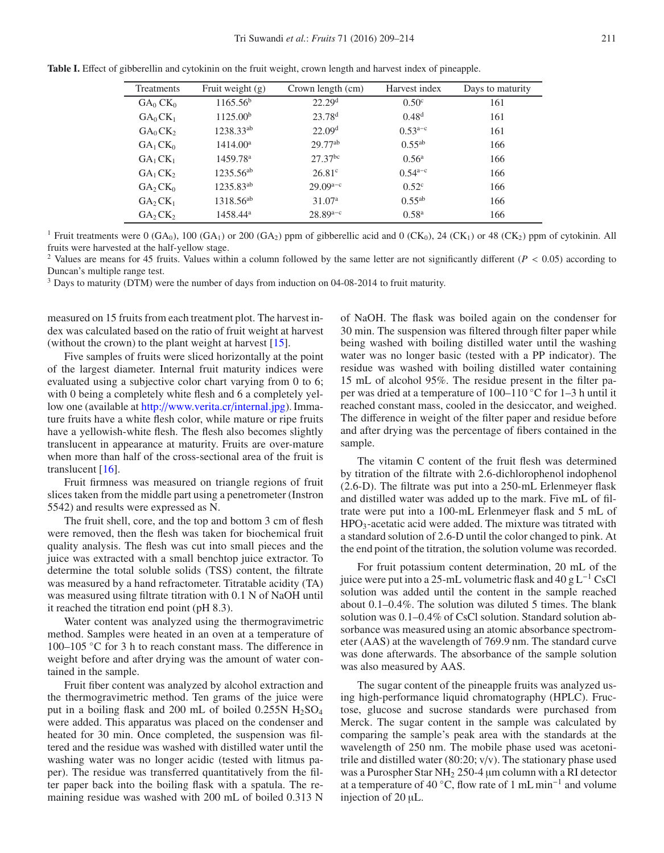| <b>Treatments</b> | Fruit weight $(g)$   | Crown length (cm)    | Harvest index       | Days to maturity |
|-------------------|----------------------|----------------------|---------------------|------------------|
| $GA_0 CK_0$       | 1165.56 <sup>b</sup> | 22.29 <sup>d</sup>   | 0.50 <sup>c</sup>   | 161              |
| $GA_0CK_1$        | 1125.00 <sup>b</sup> | $23.78$ <sup>d</sup> | $0.48^{d}$          | 161              |
| $GA_0CK_2$        | $1238.33^{ab}$       | 22.09 <sup>d</sup>   | $0.53^{a-c}$        | 161              |
| $GA_1CK_0$        | 1414.00 <sup>a</sup> | $29.77^{ab}$         | $0.55^{ab}$         | 166              |
| $GA_1CK_1$        | 1459.78 <sup>a</sup> | 27.37 <sup>bc</sup>  | 0.56 <sup>a</sup>   | 166              |
| $GA_1CK_2$        | $1235.56^{ab}$       | $26.81^{\circ}$      | $0.54^{\text{a-c}}$ | 166              |
| $GA_2CK_0$        | $1235.83^{ab}$       | $29.09^{a-c}$        | $0.52^{\circ}$      | 166              |
| $GA_2CK_1$        | $1318.56^{ab}$       | 31.07 <sup>a</sup>   | $0.55^{ab}$         | 166              |
| $GA_2CK_2$        | 1458.44 <sup>a</sup> | $28.89^{a-c}$        | 0.58 <sup>a</sup>   | 166              |

<span id="page-2-0"></span>**Table I.** Effect of gibberellin and cytokinin on the fruit weight, crown length and harvest index of pineapple.

<sup>1</sup> Fruit treatments were 0 (GA<sub>0</sub>), 100 (GA<sub>1</sub>) or 200 (GA<sub>2</sub>) ppm of gibberellic acid and 0 (CK<sub>0</sub>), 24 (CK<sub>1</sub>) or 48 (CK<sub>2</sub>) ppm of cytokinin. All fruits were harvested at the half-yellow stage.

<sup>2</sup> Values are means for 45 fruits. Values within a column followed by the same letter are not significantly different ( $P < 0.05$ ) according to Duncan's multiple range test.

<sup>3</sup> Days to maturity (DTM) were the number of days from induction on 04-08-2014 to fruit maturity.

measured on 15 fruits from each treatment plot. The harvest index was calculated based on the ratio of fruit weight at harvest (without the crown) to the plant weight at harvest  $[15]$ .

Five samples of fruits were sliced horizontally at the point of the largest diameter. Internal fruit maturity indices were evaluated using a subjective color chart varying from 0 to 6; with 0 being a completely white flesh and 6 a completely yellow one (available at http://[www.verita.cr](http://www.verita.cr/internal.jpg)/internal.jpg). Immature fruits have a white flesh color, while mature or ripe fruits have a yellowish-white flesh. The flesh also becomes slightly translucent in appearance at maturity. Fruits are over-mature when more than half of the cross-sectional area of the fruit is translucent [\[16](#page-5-8)].

Fruit firmness was measured on triangle regions of fruit slices taken from the middle part using a penetrometer (Instron 5542) and results were expressed as N.

The fruit shell, core, and the top and bottom 3 cm of flesh were removed, then the flesh was taken for biochemical fruit quality analysis. The flesh was cut into small pieces and the juice was extracted with a small benchtop juice extractor. To determine the total soluble solids (TSS) content, the filtrate was measured by a hand refractometer. Titratable acidity (TA) was measured using filtrate titration with 0.1 N of NaOH until it reached the titration end point (pH 8.3).

Water content was analyzed using the thermogravimetric method. Samples were heated in an oven at a temperature of 100–105 ◦C for 3 h to reach constant mass. The difference in weight before and after drying was the amount of water contained in the sample.

Fruit fiber content was analyzed by alcohol extraction and the thermogravimetric method. Ten grams of the juice were put in a boiling flask and 200 mL of boiled  $0.255N H_2SO_4$ were added. This apparatus was placed on the condenser and heated for 30 min. Once completed, the suspension was filtered and the residue was washed with distilled water until the washing water was no longer acidic (tested with litmus paper). The residue was transferred quantitatively from the filter paper back into the boiling flask with a spatula. The remaining residue was washed with 200 mL of boiled 0.313 N

of NaOH. The flask was boiled again on the condenser for 30 min. The suspension was filtered through filter paper while being washed with boiling distilled water until the washing water was no longer basic (tested with a PP indicator). The residue was washed with boiling distilled water containing 15 mL of alcohol 95%. The residue present in the filter paper was dried at a temperature of 100–110 ◦C for 1–3 h until it reached constant mass, cooled in the desiccator, and weighed. The difference in weight of the filter paper and residue before and after drying was the percentage of fibers contained in the sample.

The vitamin C content of the fruit flesh was determined by titration of the filtrate with 2.6-dichlorophenol indophenol (2.6-D). The filtrate was put into a 250-mL Erlenmeyer flask and distilled water was added up to the mark. Five mL of filtrate were put into a 100-mL Erlenmeyer flask and 5 mL of HPO3-acetatic acid were added. The mixture was titrated with a standard solution of 2.6-D until the color changed to pink. At the end point of the titration, the solution volume was recorded.

For fruit potassium content determination, 20 mL of the juice were put into a 25-mL volumetric flask and 40 g  $L^{-1}$  CsCl solution was added until the content in the sample reached about 0.1–0.4%. The solution was diluted 5 times. The blank solution was 0.1–0.4% of CsCl solution. Standard solution absorbance was measured using an atomic absorbance spectrometer (AAS) at the wavelength of 769.9 nm. The standard curve was done afterwards. The absorbance of the sample solution was also measured by AAS.

The sugar content of the pineapple fruits was analyzed using high-performance liquid chromatography (HPLC). Fructose, glucose and sucrose standards were purchased from Merck. The sugar content in the sample was calculated by comparing the sample's peak area with the standards at the wavelength of 250 nm. The mobile phase used was acetonitrile and distilled water (80:20;  $v/v$ ). The stationary phase used was a Purospher Star NH<sub>2</sub> 250-4 µm column with a RI detector at a temperature of 40  $°C$ , flow rate of 1 mL min<sup>-1</sup> and volume injection of 20 µL.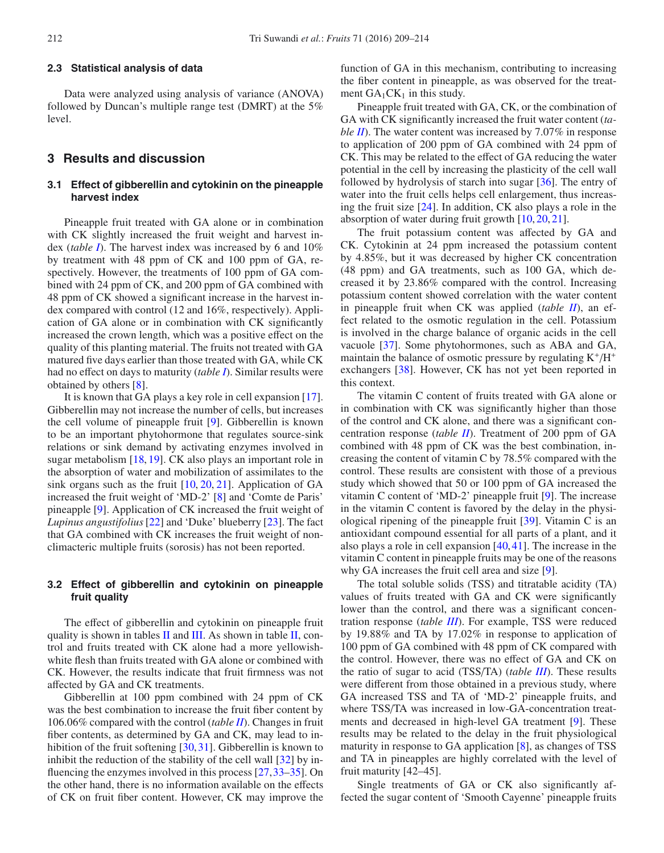#### **2.3 Statistical analysis of data**

Data were analyzed using analysis of variance (ANOVA) followed by Duncan's multiple range test (DMRT) at the 5% level.

## **3 Results and discussion**

## **3.1 Effect of gibberellin and cytokinin on the pineapple harvest index**

Pineapple fruit treated with GA alone or in combination with CK slightly increased the fruit weight and harvest index *(table [I](#page-2-0))*. The harvest index was increased by 6 and 10% by treatment with 48 ppm of CK and 100 ppm of GA, respectively. However, the treatments of 100 ppm of GA combined with 24 ppm of CK, and 200 ppm of GA combined with 48 ppm of CK showed a significant increase in the harvest index compared with control (12 and 16%, respectively). Application of GA alone or in combination with CK significantly increased the crown length, which was a positive effect on the quality of this planting material. The fruits not treated with GA matured five days earlier than those treated with GA, while CK had no effect on days to maturity (*table [I](#page-2-0)*). Similar results were obtained by others [\[8](#page-5-0)].

It is known that GA plays a key role in cell expansion [\[17](#page-5-9)]. Gibberellin may not increase the number of cells, but increases the cell volume of pineapple fruit [\[9\]](#page-5-1). Gibberellin is known to be an important phytohormone that regulates source-sink relations or sink demand by activating enzymes involved in sugar metabolism [\[18](#page-5-10), [19](#page-5-11)]. CK also plays an important role in the absorption of water and mobilization of assimilates to the sink organs such as the fruit [\[10,](#page-5-2) [20,](#page-5-12) [21](#page-5-13)]. Application of GA increased the fruit weight of 'MD-2' [\[8\]](#page-5-0) and 'Comte de Paris' pineapple [\[9](#page-5-1)]. Application of CK increased the fruit weight of *Lupinus angustifolius*[\[22\]](#page-5-14) and 'Duke' blueberry [\[23\]](#page-5-15). The fact that GA combined with CK increases the fruit weight of nonclimacteric multiple fruits (sorosis) has not been reported.

#### **3.2 Effect of gibberellin and cytokinin on pineapple fruit quality**

The effect of gibberellin and cytokinin on pineapple fruit quality is shown in tables  $II$  and  $III$ . As shown in table  $II$ , control and fruits treated with CK alone had a more yellowishwhite flesh than fruits treated with GA alone or combined with CK. However, the results indicate that fruit firmness was not affected by GA and CK treatments.

Gibberellin at 100 ppm combined with 24 ppm of CK was the best combination to increase the fruit fiber content by 106.06% compared with the control (*table [II](#page-4-7)*). Changes in fruit fiber contents, as determined by GA and CK, may lead to in-hibition of the fruit softening [\[30,](#page-5-16)[31\]](#page-5-17). Gibberellin is known to inhibit the reduction of the stability of the cell wall [\[32\]](#page-5-18) by influencing the enzymes involved in this process [\[27,](#page-5-19)[33](#page-5-20)[–35\]](#page-5-21). On the other hand, there is no information available on the effects of CK on fruit fiber content. However, CK may improve the function of GA in this mechanism, contributing to increasing the fiber content in pineapple, as was observed for the treatment  $GA_1CK_1$  in this study.

Pineapple fruit treated with GA, CK, or the combination of GA with CK significantly increased the fruit water content (*table [II](#page-4-7)*). The water content was increased by 7.07% in response to application of 200 ppm of GA combined with 24 ppm of CK. This may be related to the effect of GA reducing the water potential in the cell by increasing the plasticity of the cell wall followed by hydrolysis of starch into sugar [\[36](#page-5-22)]. The entry of water into the fruit cells helps cell enlargement, thus increasing the fruit size [\[24\]](#page-5-23). In addition, CK also plays a role in the absorption of water during fruit growth [\[10](#page-5-2), [20,](#page-5-12) [21\]](#page-5-13).

The fruit potassium content was affected by GA and CK. Cytokinin at 24 ppm increased the potassium content by 4.85%, but it was decreased by higher CK concentration (48 ppm) and GA treatments, such as 100 GA, which decreased it by 23.86% compared with the control. Increasing potassium content showed correlation with the water content in pineapple fruit when CK was applied (*table [II](#page-4-7)*), an effect related to the osmotic regulation in the cell. Potassium is involved in the charge balance of organic acids in the cell vacuole [\[37\]](#page-5-24). Some phytohormones, such as ABA and GA, maintain the balance of osmotic pressure by regulating  $K^+/H^+$ exchangers [\[38](#page-5-25)]. However, CK has not yet been reported in this context.

The vitamin C content of fruits treated with GA alone or in combination with CK was significantly higher than those of the control and CK alone, and there was a significant concentration response (*table [II](#page-4-7)*). Treatment of 200 ppm of GA combined with 48 ppm of CK was the best combination, increasing the content of vitamin C by 78.5% compared with the control. These results are consistent with those of a previous study which showed that 50 or 100 ppm of GA increased the vitamin C content of 'MD-2' pineapple fruit [\[9\]](#page-5-1). The increase in the vitamin C content is favored by the delay in the physiological ripening of the pineapple fruit [\[39\]](#page-5-26). Vitamin C is an antioxidant compound essential for all parts of a plant, and it also plays a role in cell expansion [\[40,](#page-5-27)[41](#page-5-28)]. The increase in the vitamin C content in pineapple fruits may be one of the reasons why GA increases the fruit cell area and size [\[9](#page-5-1)].

The total soluble solids (TSS) and titratable acidity (TA) values of fruits treated with GA and CK were significantly lower than the control, and there was a significant concentration response (*table [III](#page-4-8)*). For example, TSS were reduced by 19.88% and TA by 17.02% in response to application of 100 ppm of GA combined with 48 ppm of CK compared with the control. However, there was no effect of GA and CK on the ratio of sugar to acid (TSS/TA) (*table [III](#page-4-8)*). These results were different from those obtained in a previous study, where GA increased TSS and TA of 'MD-2' pineapple fruits, and where TSS/TA was increased in low-GA-concentration treatments and decreased in high-level GA treatment [\[9](#page-5-1)]. These results may be related to the delay in the fruit physiological maturity in response to GA application [\[8](#page-5-0)], as changes of TSS and TA in pineapples are highly correlated with the level of fruit maturity [42–45].

Single treatments of GA or CK also significantly affected the sugar content of 'Smooth Cayenne' pineapple fruits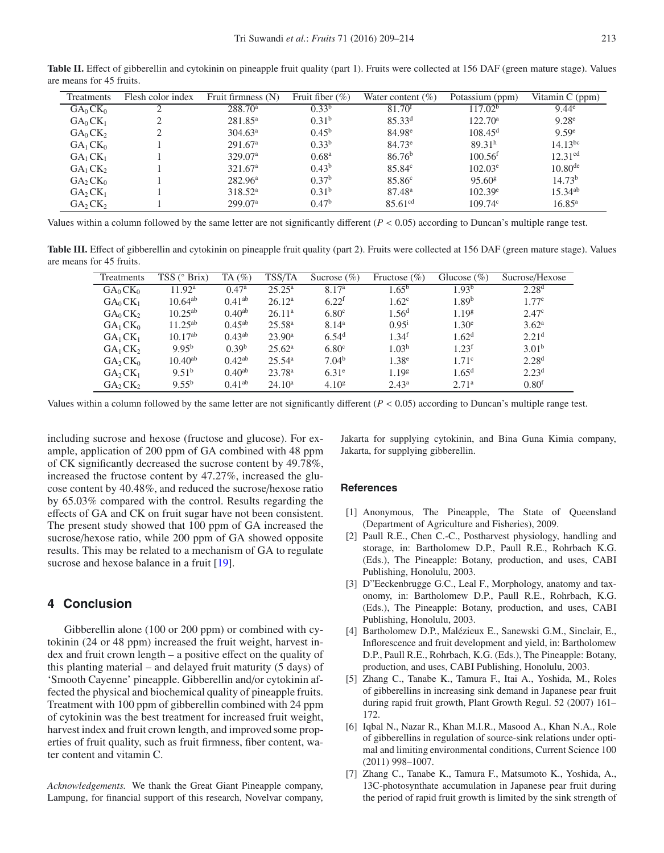| Treatments | Flesh color index | Fruit firmness (N)  | Fruit fiber $(\%)$ | Water content $(\% )$ | Potassium (ppm)     | $\overline{\text{V}$ itamin C (ppm) |
|------------|-------------------|---------------------|--------------------|-----------------------|---------------------|-------------------------------------|
| $GA_0CK_0$ |                   | $288.70^a$          | $0.33^{b}$         | $81.70^{f}$           | 117.02 <sup>b</sup> | 9.44 <sup>e</sup>                   |
| $GA_0CK_1$ |                   | $281.85^{\rm a}$    | 0.31 <sup>b</sup>  | $85.33^{d}$           | $122.70^{\circ}$    | $9.28^e$                            |
| $GA_0CK_2$ | $\mathcal{L}$     | $304.63^{\rm a}$    | $0.45^{\rm b}$     | 84.98 <sup>e</sup>    | $108.45^{\rm d}$    | $9.59^e$                            |
| $GA_1CK_0$ |                   | 291.67 <sup>a</sup> | 0.33 <sup>b</sup>  | $84.73^e$             | 89.31 <sup>h</sup>  | $14.13^{bc}$                        |
| $GA_1CK_1$ |                   | 329.07 <sup>a</sup> | 0.68 <sup>a</sup>  | $86.76^{b}$           | 100.56 <sup>f</sup> | 12.31 <sup>cd</sup>                 |
| $GA_1CK_2$ |                   | 321.67 <sup>a</sup> | $0.43^{b}$         | $85.84^{\circ}$       | $102.03^e$          | $10.80^{de}$                        |
| $GA_2CK_0$ |                   | $282.96^{\rm a}$    | 0.37 <sup>b</sup>  | $85.86^{\circ}$       | 95.60 <sup>g</sup>  | 14.73 <sup>b</sup>                  |
| $GA_2CK_1$ |                   | $318.52^a$          | 0.31 <sup>b</sup>  | 87.48 <sup>a</sup>    | $102.39^e$          | $15.34^{ab}$                        |
| $GA_2CK_2$ |                   | 299.07 <sup>a</sup> | 0.47 <sup>b</sup>  | 85.61 <sup>cd</sup>   | $109.74^{\circ}$    | $16.85^{\rm a}$                     |

<span id="page-4-8"></span><span id="page-4-7"></span>**Table II.** Effect of gibberellin and cytokinin on pineapple fruit quality (part 1). Fruits were collected at 156 DAF (green mature stage). Values are means for 45 fruits.

Values within a column followed by the same letter are not significantly different (*P* < 0.05) according to Duncan's multiple range test.

**Table III.** Effect of gibberellin and cytokinin on pineapple fruit quality (part 2). Fruits were collected at 156 DAF (green mature stage). Values are means for 45 fruits.

| Treatments | TSS $(° \text{ Brix})$ | TA $(%)$          | TSS/TA               | Sucrose $(\%)$      | Fructose $(\% )$  | Glucose $(\%)$    | Sucrose/Hexose    |
|------------|------------------------|-------------------|----------------------|---------------------|-------------------|-------------------|-------------------|
| $GA_0CK_0$ | 11.92 <sup>a</sup>     | 0.47 <sup>a</sup> | $25.25^{\rm a}$      | 8.17 <sup>a</sup>   | $1.65^{\rm b}$    | 1.93 <sup>b</sup> | 2.28 <sup>d</sup> |
| $GA_0CK_1$ | $10.64^{ab}$           | $0.41^{ab}$       | 26.12 <sup>a</sup>   | $6.22$ <sup>f</sup> | 1.62 <sup>c</sup> | 1.89 <sup>b</sup> | $1.77^e$          |
| $GA_0CK_2$ | $10.25^{ab}$           | $0.40^{ab}$       | 26.11 <sup>a</sup>   | 6.80 <sup>c</sup>   | 1.56 <sup>d</sup> | 1.19 <sup>g</sup> | 2.47 <sup>c</sup> |
| $GA_1CK_0$ | $11.25^{ab}$           | $0.45^{ab}$       | 25.58 <sup>a</sup>   | 8.14 <sup>a</sup>   | $0.95^{\rm i}$    | 1.30 <sup>e</sup> | 3.62 <sup>a</sup> |
| $GA_1CK_1$ | $10.17^{ab}$           | $0.43^{ab}$       | 23.90 <sup>a</sup>   | 6.54 <sup>d</sup>   | 1.34 <sup>f</sup> | 1.62 <sup>d</sup> | 2.21 <sup>d</sup> |
| $GA_1CK_2$ | $9.95^{b}$             | 0.39 <sup>b</sup> | $25.62^{\rm a}$      | 6.80 <sup>c</sup>   | 1.03 <sup>h</sup> | 1.23 <sup>f</sup> | 3.01 <sup>b</sup> |
| $GA_2CK_0$ | $10.40^{ab}$           | $0.42^{ab}$       | $25.54$ <sup>a</sup> | 7.04 <sup>b</sup>   | $1.38^{e}$        | $1.71^{\circ}$    | $2.28^{d}$        |
| $GA_2CK_1$ | $9.51^{b}$             | $0.40^{ab}$       | 23.78 <sup>a</sup>   | 6.31 <sup>e</sup>   | 1.19 <sup>g</sup> | $1.65^{\rm d}$    | 2.23 <sup>d</sup> |
| $GA_2CK_2$ | $9.55^{b}$             | $0.41^{ab}$       | 24.10 <sup>a</sup>   | 4.10 <sup>g</sup>   | $2.43^{\rm a}$    | 2.71 <sup>a</sup> | 0.80 <sup>f</sup> |

Values within a column followed by the same letter are not significantly different (*P* < 0.05) according to Duncan's multiple range test.

including sucrose and hexose (fructose and glucose). For example, application of 200 ppm of GA combined with 48 ppm of CK significantly decreased the sucrose content by 49.78%, increased the fructose content by 47.27%, increased the glucose content by 40.48%, and reduced the sucrose/hexose ratio by 65.03% compared with the control. Results regarding the effects of GA and CK on fruit sugar have not been consistent. The present study showed that 100 ppm of GA increased the sucrose/hexose ratio, while 200 ppm of GA showed opposite results. This may be related to a mechanism of GA to regulate sucrose and hexose balance in a fruit [\[19\]](#page-5-11).

## **4 Conclusion**

Gibberellin alone (100 or 200 ppm) or combined with cytokinin (24 or 48 ppm) increased the fruit weight, harvest index and fruit crown length – a positive effect on the quality of this planting material – and delayed fruit maturity (5 days) of 'Smooth Cayenne' pineapple. Gibberellin and/or cytokinin affected the physical and biochemical quality of pineapple fruits. Treatment with 100 ppm of gibberellin combined with 24 ppm of cytokinin was the best treatment for increased fruit weight, harvest index and fruit crown length, and improved some properties of fruit quality, such as fruit firmness, fiber content, water content and vitamin C.

*Acknowledgements.* We thank the Great Giant Pineapple company, Lampung, for financial support of this research, Novelvar company, Jakarta for supplying cytokinin, and Bina Guna Kimia company, Jakarta, for supplying gibberellin.

#### <span id="page-4-0"></span>**References**

- [1] Anonymous, The Pineapple, The State of Queensland (Department of Agriculture and Fisheries), 2009.
- <span id="page-4-1"></span>[2] Paull R.E., Chen C.-C., Postharvest physiology, handling and storage, in: Bartholomew D.P., Paull R.E., Rohrbach K.G. (Eds.), The Pineapple: Botany, production, and uses, CABI Publishing, Honolulu, 2003.
- <span id="page-4-2"></span>[3] D"Eeckenbrugge G.C., Leal F., Morphology, anatomy and taxonomy, in: Bartholomew D.P., Paull R.E., Rohrbach, K.G. (Eds.), The Pineapple: Botany, production, and uses, CABI Publishing, Honolulu, 2003.
- <span id="page-4-3"></span>[4] Bartholomew D.P., Malézieux E., Sanewski G.M., Sinclair, E., Inflorescence and fruit development and yield, in: Bartholomew D.P., Paull R.E., Rohrbach, K.G. (Eds.), The Pineapple: Botany, production, and uses, CABI Publishing, Honolulu, 2003.
- <span id="page-4-4"></span>[5] Zhang C., Tanabe K., Tamura F., Itai A., Yoshida, M., Roles of gibberellins in increasing sink demand in Japanese pear fruit during rapid fruit growth, Plant Growth Regul. 52 (2007) 161– 172.
- <span id="page-4-5"></span>[6] Iqbal N., Nazar R., Khan M.I.R., Masood A., Khan N.A., Role of gibberellins in regulation of source-sink relations under optimal and limiting environmental conditions, Current Science 100 (2011) 998–1007.
- <span id="page-4-6"></span>[7] Zhang C., Tanabe K., Tamura F., Matsumoto K., Yoshida, A., 13C-photosynthate accumulation in Japanese pear fruit during the period of rapid fruit growth is limited by the sink strength of